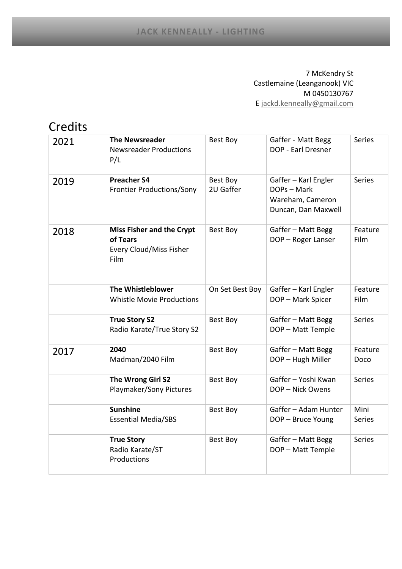## 7 McKendry St Castlemaine (Leanganook) VIC M 0450130767 [E jackd.kenneally@gmail.com](mailto:jackd.kenneally@gmail.com)

## Credits

| 2021 | <b>The Newsreader</b><br><b>Newsreader Productions</b><br>P/L                          | Best Boy              | Gaffer - Matt Begg<br>DOP - Earl Dresner                                       | <b>Series</b>   |
|------|----------------------------------------------------------------------------------------|-----------------------|--------------------------------------------------------------------------------|-----------------|
| 2019 | <b>Preacher S4</b><br><b>Frontier Productions/Sony</b>                                 | Best Boy<br>2U Gaffer | Gaffer - Karl Engler<br>DOPs - Mark<br>Wareham, Cameron<br>Duncan, Dan Maxwell | <b>Series</b>   |
| 2018 | <b>Miss Fisher and the Crypt</b><br>of Tears<br>Every Cloud/Miss Fisher<br><b>Film</b> | <b>Best Boy</b>       | Gaffer - Matt Begg<br>DOP - Roger Lanser                                       | Feature<br>Film |
|      | The Whistleblower<br><b>Whistle Movie Productions</b>                                  | On Set Best Boy       | Gaffer - Karl Engler<br>DOP - Mark Spicer                                      | Feature<br>Film |
|      | <b>True Story S2</b><br>Radio Karate/True Story S2                                     | Best Boy              | Gaffer - Matt Begg<br>DOP - Matt Temple                                        | Series          |
| 2017 | 2040<br>Madman/2040 Film                                                               | Best Boy              | Gaffer - Matt Begg<br>DOP - Hugh Miller                                        | Feature<br>Doco |
|      | The Wrong Girl S2<br>Playmaker/Sony Pictures                                           | <b>Best Boy</b>       | Gaffer - Yoshi Kwan<br>DOP - Nick Owens                                        | Series          |
|      | <b>Sunshine</b><br><b>Essential Media/SBS</b>                                          | Best Boy              | Gaffer - Adam Hunter<br>DOP - Bruce Young                                      | Mini<br>Series  |
|      | <b>True Story</b><br>Radio Karate/ST<br>Productions                                    | Best Boy              | Gaffer - Matt Begg<br>DOP - Matt Temple                                        | <b>Series</b>   |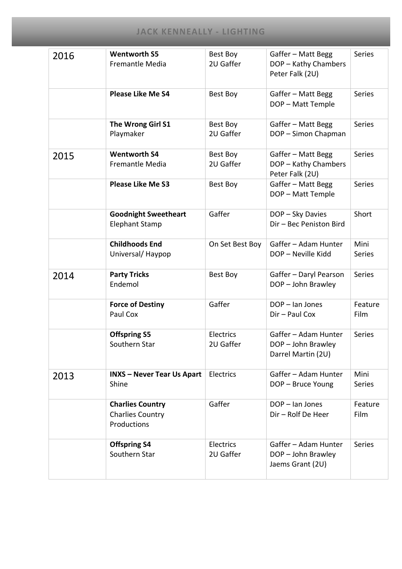| 2016 | <b>Wentworth S5</b><br><b>Fremantle Media</b>                     | Best Boy<br>2U Gaffer  | Gaffer - Matt Begg<br>DOP - Kathy Chambers<br>Peter Falk (2U)    | <b>Series</b>         |
|------|-------------------------------------------------------------------|------------------------|------------------------------------------------------------------|-----------------------|
|      | <b>Please Like Me S4</b>                                          | Best Boy               | Gaffer - Matt Begg<br>DOP - Matt Temple                          | <b>Series</b>         |
|      | The Wrong Girl S1<br>Playmaker                                    | Best Boy<br>2U Gaffer  | Gaffer - Matt Begg<br>DOP - Simon Chapman                        | <b>Series</b>         |
| 2015 | <b>Wentworth S4</b><br><b>Fremantle Media</b>                     | Best Boy<br>2U Gaffer  | Gaffer - Matt Begg<br>DOP - Kathy Chambers<br>Peter Falk (2U)    | <b>Series</b>         |
|      | <b>Please Like Me S3</b>                                          | Best Boy               | Gaffer - Matt Begg<br>DOP - Matt Temple                          | <b>Series</b>         |
|      | <b>Goodnight Sweetheart</b><br><b>Elephant Stamp</b>              | Gaffer                 | DOP - Sky Davies<br>Dir - Bec Peniston Bird                      | Short                 |
|      | <b>Childhoods End</b><br>Universal/Haypop                         | On Set Best Boy        | Gaffer - Adam Hunter<br>DOP - Neville Kidd                       | Mini<br><b>Series</b> |
| 2014 | <b>Party Tricks</b><br>Endemol                                    | Best Boy               | Gaffer - Daryl Pearson<br>DOP - John Brawley                     | <b>Series</b>         |
|      | <b>Force of Destiny</b><br>Paul Cox                               | Gaffer                 | DOP - Ian Jones<br>Dir - Paul Cox                                | Feature<br>Film       |
|      | <b>Offspring S5</b><br>Southern Star                              | Electrics<br>2U Gaffer | Gaffer - Adam Hunter<br>DOP - John Brawley<br>Darrel Martin (2U) | <b>Series</b>         |
| 2013 | <b>INXS - Never Tear Us Apart</b><br>Shine                        | Electrics              | Gaffer - Adam Hunter<br>DOP - Bruce Young                        | Mini<br><b>Series</b> |
|      | <b>Charlies Country</b><br><b>Charlies Country</b><br>Productions | Gaffer                 | DOP - Ian Jones<br>Dir - Rolf De Heer                            | Feature<br>Film       |
|      | <b>Offspring S4</b><br>Southern Star                              | Electrics<br>2U Gaffer | Gaffer - Adam Hunter<br>DOP - John Brawley<br>Jaems Grant (2U)   | Series                |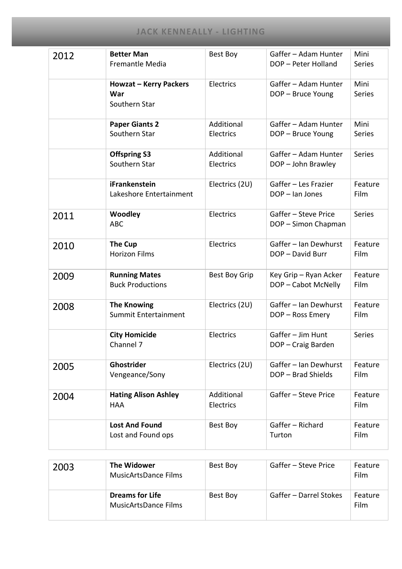| 2012 | <b>Better Man</b><br><b>Fremantle Media</b>           | Best Boy                | Gaffer - Adam Hunter<br>DOP - Peter Holland  | Mini<br><b>Series</b> |
|------|-------------------------------------------------------|-------------------------|----------------------------------------------|-----------------------|
|      | <b>Howzat - Kerry Packers</b><br>War<br>Southern Star | Electrics               | Gaffer - Adam Hunter<br>DOP - Bruce Young    | Mini<br><b>Series</b> |
|      | <b>Paper Giants 2</b><br>Southern Star                | Additional<br>Electrics | Gaffer - Adam Hunter<br>DOP - Bruce Young    | Mini<br>Series        |
|      | <b>Offspring S3</b><br>Southern Star                  | Additional<br>Electrics | Gaffer - Adam Hunter<br>DOP - John Brawley   | <b>Series</b>         |
|      | iFrankenstein<br>Lakeshore Entertainment              | Electrics (2U)          | Gaffer - Les Frazier<br>DOP - Ian Jones      | Feature<br>Film       |
| 2011 | Woodley<br><b>ABC</b>                                 | Electrics               | Gaffer - Steve Price<br>DOP - Simon Chapman  | Series                |
| 2010 | The Cup<br><b>Horizon Films</b>                       | Electrics               | Gaffer - Ian Dewhurst<br>DOP - David Burr    | Feature<br>Film       |
| 2009 | <b>Running Mates</b><br><b>Buck Productions</b>       | <b>Best Boy Grip</b>    | Key Grip - Ryan Acker<br>DOP - Cabot McNelly | Feature<br>Film       |
| 2008 | <b>The Knowing</b><br>Summit Entertainment            | Electrics (2U)          | Gaffer - Ian Dewhurst<br>DOP - Ross Emery    | Feature<br>Film       |
|      | <b>City Homicide</b><br>Channel 7                     | Electrics               | Gaffer - Jim Hunt<br>DOP - Craig Barden      | Series                |
| 2005 | Ghostrider<br>Vengeance/Sony                          | Electrics (2U)          | Gaffer - Ian Dewhurst<br>DOP - Brad Shields  | Feature<br>Film       |
| 2004 | <b>Hating Alison Ashley</b><br><b>HAA</b>             | Additional<br>Electrics | Gaffer - Steve Price                         | Feature<br>Film       |
|      | <b>Lost And Found</b><br>Lost and Found ops           | Best Boy                | Gaffer - Richard<br>Turton                   | Feature<br>Film       |

| 2003 | The Widower<br>MusicArtsDance Films            | Best Boy | Gaffer - Steve Price   | Feature<br>Film |
|------|------------------------------------------------|----------|------------------------|-----------------|
|      | <b>Dreams for Life</b><br>MusicArtsDance Films | Best Boy | Gaffer - Darrel Stokes | Feature<br>Film |